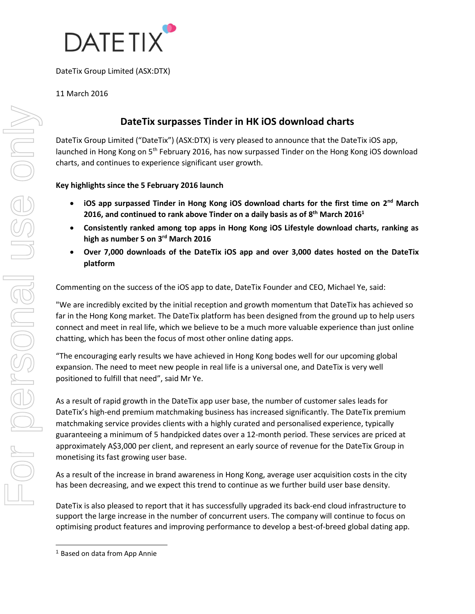

DateTix Group Limited (ASX:DTX)

### 11 March 2016

# **DateTix surpasses Tinder in HK iOS download charts**

DateTix Group Limited ("DateTix") (ASX:DTX) is very pleased to announce that the DateTix iOS app, launched in Hong Kong on 5<sup>th</sup> February 2016, has now surpassed Tinder on the Hong Kong iOS download charts, and continues to experience significant user growth.

#### **Key highlights since the 5 February 2016 launch**

- iOS app surpassed Tinder in Hong Kong iOS download charts for the first time on 2<sup>nd</sup> March **2016, and continued to rank above Tinder on a daily basis as of 8 th March 2016<sup>1</sup>**
- **Consistently ranked among top apps in Hong Kong iOS Lifestyle download charts, ranking as high as number 5 on 3 rd March 2016**
- **Over 7,000 downloads of the DateTix iOS app and over 3,000 dates hosted on the DateTix platform**

Commenting on the success of the iOS app to date, DateTix Founder and CEO, Michael Ye, said:

"We are incredibly excited by the initial reception and growth momentum that DateTix has achieved so far in the Hong Kong market. The DateTix platform has been designed from the ground up to help users connect and meet in real life, which we believe to be a much more valuable experience than just online chatting, which has been the focus of most other online dating apps.

"The encouraging early results we have achieved in Hong Kong bodes well for our upcoming global expansion. The need to meet new people in real life is a universal one, and DateTix is very well positioned to fulfill that need", said Mr Ye.

As a result of rapid growth in the DateTix app user base, the number of customer sales leads for DateTix's high-end premium matchmaking business has increased significantly. The DateTix premium matchmaking service provides clients with a highly curated and personalised experience, typically guaranteeing a minimum of 5 handpicked dates over a 12-month period. These services are priced at approximately A\$3,000 per client, and represent an early source of revenue for the DateTix Group in monetising its fast growing user base.

As a result of the increase in brand awareness in Hong Kong, average user acquisition costs in the city has been decreasing, and we expect this trend to continue as we further build user base density.

DateTix is also pleased to report that it has successfully upgraded its back-end cloud infrastructure to support the large increase in the number of concurrent users. The company will continue to focus on optimising product features and improving performance to develop a best-of-breed global dating app.

<sup>1</sup> Based on data from App Annie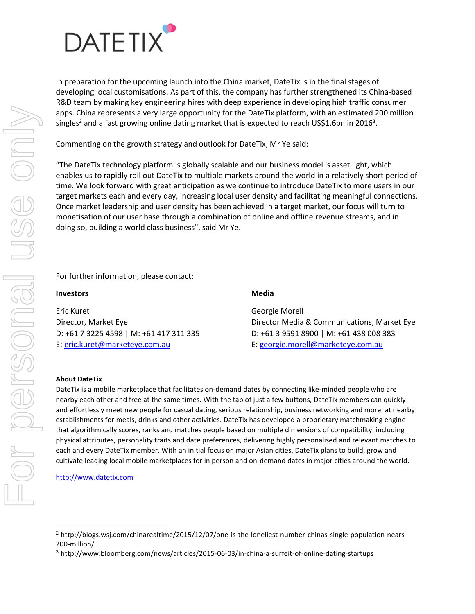

In preparation for the upcoming launch into the China market, DateTix is in the final stages of developing local customisations. As part of this, the company has further strengthened its China-based R&D team by making key engineering hires with deep experience in developing high traffic consumer apps. China represents a very large opportunity for the DateTix platform, with an estimated 200 million singles<sup>2</sup> and a fast growing online dating market that is expected to reach US\$1.6bn in 2016<sup>3</sup>.

Commenting on the growth strategy and outlook for DateTix, Mr Ye said:

"The DateTix technology platform is globally scalable and our business model is asset light, which enables us to rapidly roll out DateTix to multiple markets around the world in a relatively short period of time. We look forward with great anticipation as we continue to introduce DateTix to more users in our target markets each and every day, increasing local user density and facilitating meaningful connections. Once market leadership and user density has been achieved in a target market, our focus will turn to monetisation of our user base through a combination of online and offline revenue streams, and in doing so, building a world class business", said Mr Ye.

#### For further information, please contact:

| <b>Media</b> |
|--------------|
|              |

Eric Kuret Georgie Morell D: +61 7 3225 4598 | M: +61 417 311 335 D: +61 3 9591 8900 | M: +61 438 008 383 E: [eric.kuret@marketeye.com.au](mailto:eric.kuret@marketeye.com.au) E: [georgie.morell@marketeye.com.au](mailto:georgie.morell@marketeye.com.au)

Director, Market Eye Director Media & Communications, Market Eye

#### **About DateTix**

DateTix is a mobile marketplace that facilitates on-demand dates by connecting like-minded people who are nearby each other and free at the same times. With the tap of just a few buttons, DateTix members can quickly and effortlessly meet new people for casual dating, serious relationship, business networking and more, at nearby establishments for meals, drinks and other activities. DateTix has developed a proprietary matchmaking engine that algorithmically scores, ranks and matches people based on multiple dimensions of compatibility, including physical attributes, personality traits and date preferences, delivering highly personalised and relevant matches to each and every DateTix member. With an initial focus on major Asian cities, DateTix plans to build, grow and cultivate leading local mobile marketplaces for in person and on-demand dates in major cities around the world.

[http://www.datetix.com](http://www.datetix.com/)

<sup>2</sup> http://blogs.wsj.com/chinarealtime/2015/12/07/one-is-the-loneliest-number-chinas-single-population-nears-200-million/

<sup>3</sup> http://www.bloomberg.com/news/articles/2015-06-03/in-china-a-surfeit-of-online-dating-startups